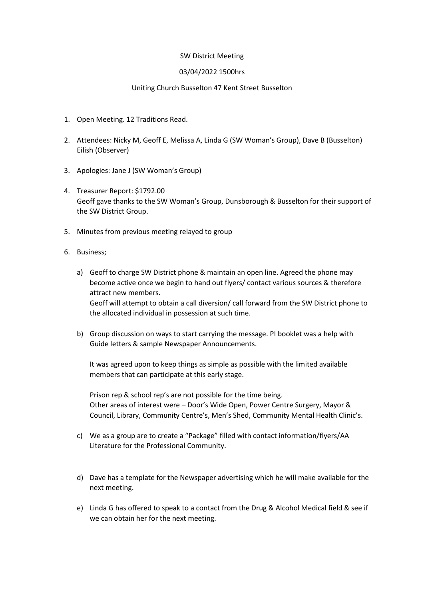## SW District Meeting

## 03/04/2022 1500hrs

## Uniting Church Busselton 47 Kent Street Busselton

- 1. Open Meeting. 12 Traditions Read.
- 2. Attendees: Nicky M, Geoff E, Melissa A, Linda G (SW Woman's Group), Dave B (Busselton) Eilish (Observer)
- 3. Apologies: Jane J (SW Woman's Group)
- 4. Treasurer Report: \$1792.00 Geoff gave thanks to the SW Woman's Group, Dunsborough & Busselton for their support of the SW District Group.
- 5. Minutes from previous meeting relayed to group
- 6. Business;
	- a) Geoff to charge SW District phone & maintain an open line. Agreed the phone may become active once we begin to hand out flyers/ contact various sources & therefore attract new members. Geoff will attempt to obtain a call diversion/ call forward from the SW District phone to the allocated individual in possession at such time.
	- b) Group discussion on ways to start carrying the message. PI booklet was a help with Guide letters & sample Newspaper Announcements.

It was agreed upon to keep things as simple as possible with the limited available members that can participate at this early stage.

Prison rep & school rep's are not possible for the time being. Other areas of interest were – Door's Wide Open, Power Centre Surgery, Mayor & Council, Library, Community Centre's, Men's Shed, Community Mental Health Clinic's.

- c) We as a group are to create a "Package" filled with contact information/flyers/AA Literature for the Professional Community.
- d) Dave has a template for the Newspaper advertising which he will make available for the next meeting.
- e) Linda G has offered to speak to a contact from the Drug & Alcohol Medical field & see if we can obtain her for the next meeting.